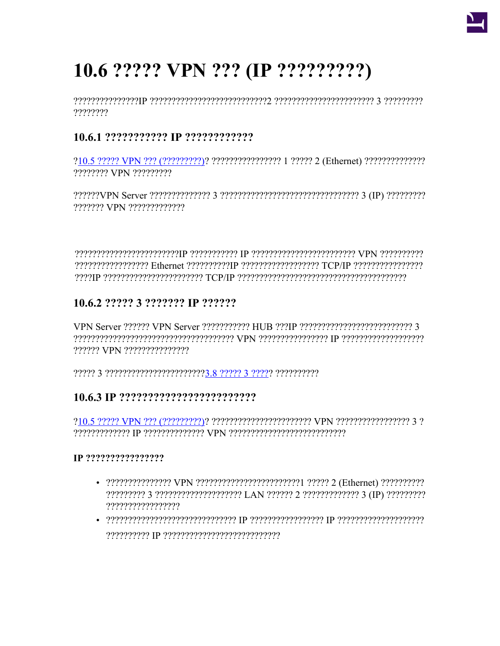

# 10.6 ????? VPN ??? (IP ?????????)

????????

# 

???????? VPN ?????????

??????? VPN ??????????????

processed the receptivistic construction of the construction of the reception of the construction of the const 

# 10.6.2 ????? 3 ??????? IP ??????

י מימימי מימילי יוני (IP מימי מימילי יון VPN מימי מימילי יוני מימילים ומימילים מימילים ומימילים מימיני מימיני ?????? VPN ???????????????

# 

# IP ?????????????????

- ?????????????????
- $\bullet$  , organspropresses are constructed to the corresponding the corresponding the set of  $\bullet$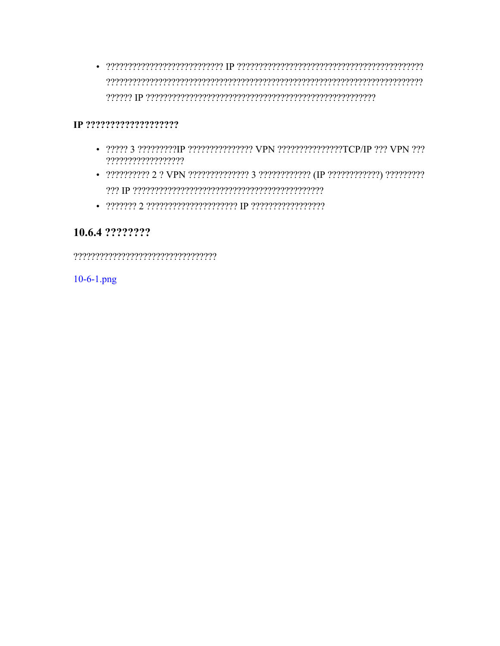#### IP ?????????????????????

- 22222 3 22222222211P 22222222222222 VPN 22222222222222227TCP/IP 222 VPN 222 ??????????????????
- 2222222222 2 2 VPN 2222222222222 3 2222222222222 (IP 2222222222222) 222222222
- 

# 10.6.4 ????????

10-6-1.png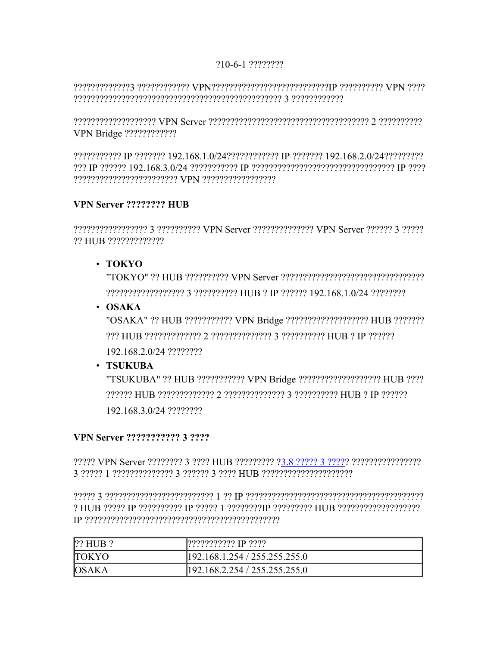#### 210-6-1 2222222

יומי VPN יומיומיומים SPN ומיומיומיומיומיומיומיומיומיומיות המיומיומיויוני ביומיומיומיוניו 

י היהיה היה היה ליולי היה היה היהיה היהיה היהיה היהיה והיה יהיה VPN Server היהיה היהיה היהיה היהיה היהיה היהי 

22222222222 IP 2222222 192.168.1.0/24222222222222 IP 2222222 192.168.2.0/24222222222 ריכי P ויירוי יוני המיני המיני המיני המיני המיני מיני המיני המיני ב-168 168 192 ויירי מיני P ומיני מינ 

#### VPN Server ???????? HUB

22222222222222223 2222222222 VPN Server 2222222222222 VPN Server 222222 3 22222 ?? HUB ??????????????

#### $\cdot$  TOKYO

222222222222222222 3 222222222 HUB 2 IP 222222 192.168.1.0/24 22222222

 $\cdot$  OSAKA

"OSAKA" ?? HUB ??????????? VPN Bridge ?????????????????? HUB ??????? 192.168.2.0/24 ????????

### · TSUKUBA

"TSUKUBA" ?? HUB ??????????? VPN Bridge ?????????????????? HUB ???? POPPER THIS PRESERVED IN THE PRESERVATION 2 PRESERVATION IN PARTY. 192.168.3.0/24 ????????

#### **VPN Server ??????????? 3 ????**

3 22222 1 222222222222 3 222222 3 2222 HUB 222222222222222222

? HUB 22222 IP 222222222 IP 22222 1 22222223 IP 222222222 HUB 222222222222222222 

| $ ?$ ? HUB $?$ | ??????????? IP ????           |
|----------------|-------------------------------|
| <b>TOKYO</b>   | 192.168.1.254 / 255.255.255.0 |
| <b>OSAKA</b>   | 192.168.2.254 / 255.255.255.0 |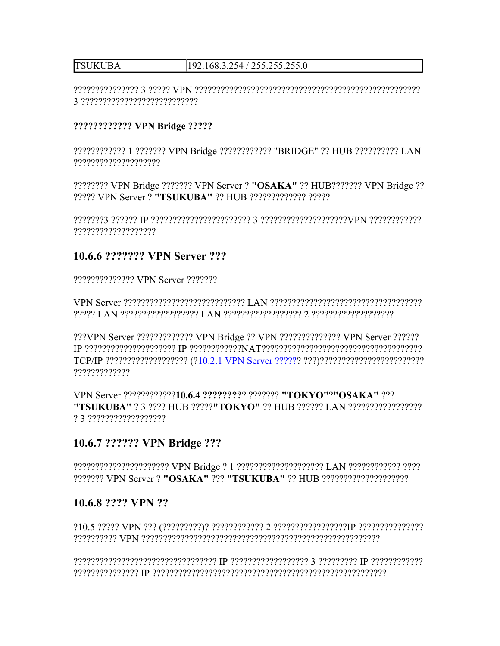#### **TSUKUBA** 192.168.3.254 / 255.255.255.0

#### ???????????? VPN Bridge ?????

???????????? 1 ??????? VPN Bridge ??????????? "BRIDGE" ?? HUB ?????????? LAN ?????????????????????

???????? VPN Bridge ??????? VPN Server ? "OSAKA" ?? HUB??????? VPN Bridge ?? ????? VPN Server ? "TSUKUBA" ?? HUB ????????????? ?????

י מימימימימימי httpN ומימימימימימימימים 3 מימימימימימימימימימים p מימימי דוימים 

# 10.6.6 ??????? VPN Server ???

?????????????? VPN Server ???????

???VPN Server ????????????? VPN Bridge ?? VPN ?????????????? VPN Server ?????? 777777777777

VPN Server ????????????10.6.4 ????????? ??????? "TOKYO"?"OSAKA" ??? ? 3 ???????????????????

# 10.6.7 ?????? VPN Bridge ???

# 10.6.8 ???? VPN ??